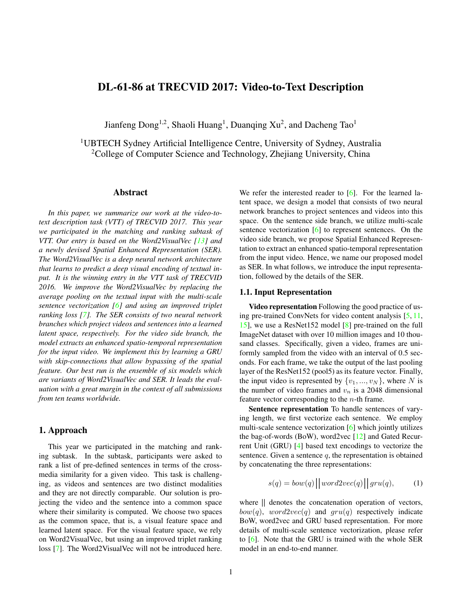# <span id="page-0-2"></span>DL-61-86 at TRECVID 2017: Video-to-Text Description

Jianfeng Dong<sup>1,2</sup>, Shaoli Huang<sup>1</sup>, Duanqing Xu<sup>2</sup>, and Dacheng Tao<sup>1</sup>

<sup>1</sup>UBTECH Sydney Artificial Intelligence Centre, University of Sydney, Australia <sup>2</sup>College of Computer Science and Technology, Zhejiang University, China

#### Abstract

*In this paper, we summarize our work at the video-totext description task (VTT) of TRECVID 2017. This year we participated in the matching and ranking subtask of VTT. Our entry is based on the Word2VisualVec [\[13\]](#page-4-0) and a newly devised Spatial Enhanced Representation (SER). The Word2VisualVec is a deep neural network architecture that learns to predict a deep visual encoding of textual input. It is the winning entry in the VTT task of TRECVID 2016. We improve the Word2VisualVec by replacing the average pooling on the textual input with the multi-scale sentence vectorization [\[6\]](#page-4-1) and using an improved triplet ranking loss [\[7\]](#page-4-2). The SER consists of two neural network branches which project videos and sentences into a learned latent space, respectively. For the video side branch, the model extracts an enhanced spatio-temporal representation for the input video. We implement this by learning a GRU with skip-connections that allow bypassing of the spatial feature. Our best run is the ensemble of six models which are variants of Word2VisualVec and SER. It leads the evaluation with a great margin in the context of all submissions from ten teams worldwide.*

# <span id="page-0-1"></span>1. Approach

This year we participated in the matching and ranking subtask. In the subtask, participants were asked to rank a list of pre-defined sentences in terms of the crossmedia similarity for a given video. This task is challenging, as videos and sentences are two distinct modalities and they are not directly comparable. Our solution is projecting the video and the sentence into a common space where their similarity is computed. We choose two spaces as the common space, that is, a visual feature space and learned latent space. For the visual feature space, we rely on Word2VisualVec, but using an improved triplet ranking loss [\[7\]](#page-4-2). The Word2VisualVec will not be introduced here.

We refer the interested reader to [\[6\]](#page-4-1). For the learned latent space, we design a model that consists of two neural network branches to project sentences and videos into this space. On the sentence side branch, we utilize multi-scale sentence vectorization [\[6\]](#page-4-1) to represent sentences. On the video side branch, we propose Spatial Enhanced Representation to extract an enhanced spatio-temporal representation from the input video. Hence, we name our proposed model as SER. In what follows, we introduce the input representation, followed by the details of the SER.

#### 1.1. Input Representation

Video representation Following the good practice of using pre-trained ConvNets for video content analysis [\[5,](#page-4-3) [11,](#page-4-4) [15\]](#page-4-5), we use a ResNet152 model [\[8\]](#page-4-6) pre-trained on the full ImageNet dataset with over 10 million images and 10 thousand classes. Specifically, given a video, frames are uniformly sampled from the video with an interval of 0.5 seconds. For each frame, we take the output of the last pooling layer of the ResNet152 (pool5) as its feature vector. Finally, the input video is represented by  $\{v_1, ..., v_N\}$ , where N is the number of video frames and  $v_n$  is a 2048 dimensional feature vector corresponding to the n-th frame.

Sentence representation To handle sentences of varying length, we first vectorize each sentence. We employ multi-scale sentence vectorization [\[6\]](#page-4-1) which jointly utilizes the bag-of-words (BoW), word2vec [\[12\]](#page-4-7) and Gated Recurrent Unit (GRU) [\[4\]](#page-4-8) based text encodings to vectorize the sentence. Given a sentence  $q$ , the representation is obtained by concatenating the three representations:

<span id="page-0-0"></span>
$$
s(q) = bow(q) \Big| \Big| word2vec(q) \Big| \Big| gru(q), \qquad (1)
$$

where  $\parallel$  denotes the concatenation operation of vectors,  $bow(q)$ ,  $word2vec(q)$  and  $gru(q)$  respectively indicate BoW, word2vec and GRU based representation. For more details of multi-scale sentence vectorization, please refer to [\[6\]](#page-4-1). Note that the GRU is trained with the whole SER model in an end-to-end manner.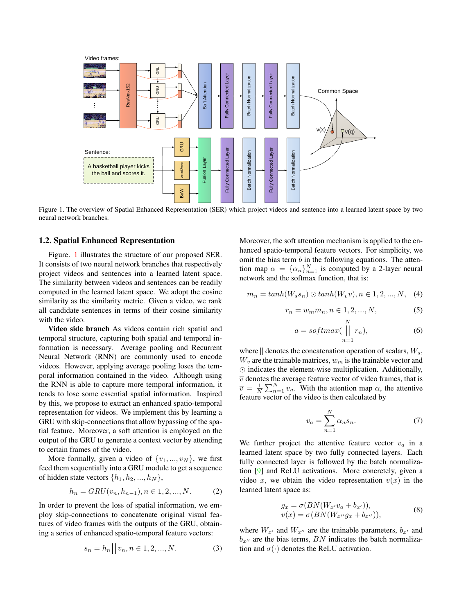<span id="page-1-1"></span>

Figure 1. The overview of Spatial Enhanced Representation (SER) which project videos and sentence into a learned latent space by two neural network branches.

#### 1.2. Spatial Enhanced Representation

Figure. [1](#page-1-0) illustrates the structure of our proposed SER. It consists of two neural network branches that respectively project videos and sentences into a learned latent space. The similarity between videos and sentences can be readily computed in the learned latent space. We adopt the cosine similarity as the similarity metric. Given a video, we rank all candidate sentences in terms of their cosine similarity with the video.

Video side branch As videos contain rich spatial and temporal structure, capturing both spatial and temporal information is necessary. Average pooling and Recurrent Neural Network (RNN) are commonly used to encode videos. However, applying average pooling loses the temporal information contained in the video. Although using the RNN is able to capture more temporal information, it tends to lose some essential spatial information. Inspired by this, we propose to extract an enhanced spatio-temporal representation for videos. We implement this by learning a GRU with skip-connections that allow bypassing of the spatial feature. Moreover, a soft attention is employed on the output of the GRU to generate a context vector by attending to certain frames of the video.

More formally, given a video of  $\{v_1, ..., v_N\}$ , we first feed them sequentially into a GRU module to get a sequence of hidden state vectors  $\{h_1, h_2, ..., h_N\},\$ 

$$
h_n = GRU(v_n, h_{n-1}), n \in 1, 2, ..., N.
$$
 (2)

In order to prevent the loss of spatial information, we employ skip-connections to concatenate original visual features of video frames with the outputs of the GRU, obtaining a series of enhanced spatio-temporal feature vectors:

$$
s_n = h_n || v_n, n \in 1, 2, ..., N.
$$
 (3)

Moreover, the soft attention mechanism is applied to the enhanced spatio-temporal feature vectors. For simplicity, we omit the bias term  $b$  in the following equations. The attention map  $\alpha = {\{\alpha_n\}}_{n=1}^N$  is computed by a 2-layer neural network and the softmax function, that is:

$$
m_n = \tanh(W_s s_n) \odot \tanh(W_v \overline{v}), n \in 1, 2, ..., N, \quad (4)
$$

$$
r_n = w_m m_n, n \in 1, 2, ..., N,
$$
 (5)

<span id="page-1-0"></span> $\mathbf{v}$ 

$$
a = softmax(\prod_{n=1}^{N} r_n),
$$
 (6)

where  $\parallel$  denotes the concatenation operation of scalars,  $W_s$ ,  $W_v$  are the trainable matrices,  $w_m$  is the trainable vector and  $\odot$  indicates the element-wise multiplication. Additionally,  $\overline{v}$  denotes the average feature vector of video frames, that is  $\overline{v} = \frac{1}{N} \sum_{n=1}^{N} v_n$ . With the attention map  $\alpha$ , the attentive feature vector of the video is then calculated by

$$
v_a = \sum_{n=1}^{N} \alpha_n s_n.
$$
 (7)

We further project the attentive feature vector  $v_a$  in a learned latent space by two fully connected layers. Each fully connected layer is followed by the batch normalization [\[9\]](#page-4-9) and ReLU activations. More concretely, given a video x, we obtain the video representation  $v(x)$  in the learned latent space as:

$$
g_x = \sigma(BN(W_{x'}v_a + b_{x'})),
$$
  

$$
v(x) = \sigma(BN(W_{x''}g_x + b_{x''})),
$$
 (8)

where  $W_{x}$  and  $W_{x}$  are the trainable parameters,  $b_{x}$  and  $b_{x}$  are the bias terms, BN indicates the batch normalization and  $\sigma(\cdot)$  denotes the ReLU activation.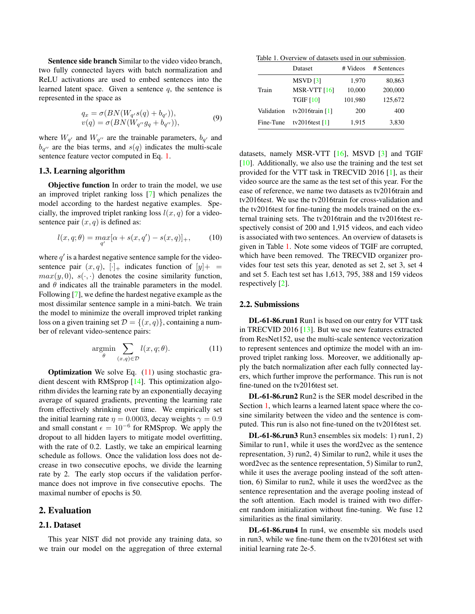<span id="page-2-2"></span>Sentence side branch Similar to the video video branch, two fully connected layers with batch normalization and ReLU activations are used to embed sentences into the learned latent space. Given a sentence  $q$ , the sentence is represented in the space as

$$
q_x = \sigma(BN(W_{q'}s(q) + b_{q'})),
$$
  
\n
$$
v(q) = \sigma(BN(W_{q''}g_q + b_{q''})),
$$
\n(9)

where  $W_{q'}$  and  $W_{q''}$  are the trainable parameters,  $b_{q'}$  and  $b_{q''}$  are the bias terms, and  $s(q)$  indicates the multi-scale sentence feature vector computed in Eq. [1.](#page-0-0)

#### 1.3. Learning algorithm

Objective function In order to train the model, we use an improved triplet ranking loss [\[7\]](#page-4-2) which penalizes the model according to the hardest negative examples. Specially, the improved triplet ranking loss  $l(x, q)$  for a videosentence pair  $(x, q)$  is defined as:

$$
l(x, q; \theta) = \max_{q'} [\alpha + s(x, q') - s(x, q)]_+, \qquad (10)
$$

where  $q'$  is a hardest negative sentence sample for the videosentence pair  $(x, q)$ ,  $[\cdot]_+$  indicates function of  $[y]_+$  $max(y, 0), s(\cdot, \cdot)$  denotes the cosine similarity function, and  $\theta$  indicates all the trainable parameters in the model. Following [\[7\]](#page-4-2), we define the hardest negative example as the most dissimilar sentence sample in a mini-batch. We train the model to minimize the overall improved triplet ranking loss on a given training set  $\mathcal{D} = \{(x, q)\}\)$ , containing a number of relevant video-sentence pairs:

<span id="page-2-0"></span>
$$
\underset{\theta}{\text{argmin}} \sum_{(x,q)\in\mathcal{D}} l(x,q;\theta). \tag{11}
$$

**Optimization** We solve Eq.  $(11)$  using stochastic gradient descent with RMSprop [\[14\]](#page-4-10). This optimization algorithm divides the learning rate by an exponentially decaying average of squared gradients, preventing the learning rate from effectively shrinking over time. We empirically set the initial learning rate  $\eta = 0.0003$ , decay weights  $\gamma = 0.9$ and small constant  $\epsilon = 10^{-6}$  for RMSprop. We apply the dropout to all hidden layers to mitigate model overfitting, with the rate of 0.2. Lastly, we take an empirical learning schedule as follows. Once the validation loss does not decrease in two consecutive epochs, we divide the learning rate by 2. The early stop occurs if the validation performance does not improve in five consecutive epochs. The maximal number of epochs is 50.

#### 2. Evaluation

#### 2.1. Dataset

This year NIST did not provide any training data, so we train our model on the aggregation of three external

<span id="page-2-1"></span>Table 1. Overview of datasets used in our submission.

|            | Dataset           | # Videos | # Sentences |
|------------|-------------------|----------|-------------|
|            | $MSVD$ [3]        | 1,970    | 80,863      |
| Train      | MSR-VTT $[16]$    | 10,000   | 200,000     |
|            | <b>TGIF [10]</b>  | 101,980  | 125,672     |
| Validation | tv2016train $[1]$ | 200      | 400         |
| Fine-Tune  | tv2016test $[1]$  | 1,915    | 3,830       |

datasets, namely MSR-VTT [\[16\]](#page-4-12), MSVD [\[3\]](#page-4-11) and TGIF  $[10]$ . Additionally, we also use the training and the test set provided for the VTT task in TRECVID 2016 [\[1\]](#page-4-14), as their video source are the same as the test set of this year. For the ease of reference, we name two datasets as tv2016train and tv2016test. We use the tv2016train for cross-validation and the tv2016test for fine-tuning the models trained on the external training sets. The tv2016train and the tv2016test respectively consist of 200 and 1,915 videos, and each video is associated with two sentences. An overview of datasets is given in Table [1.](#page-2-1) Note some videos of TGIF are corrupted, which have been removed. The TRECVID organizer provides four test sets this year, denoted as set 2, set 3, set 4 and set 5. Each test set has 1,613, 795, 388 and 159 videos respectively [\[2\]](#page-4-15).

#### 2.2. Submissions

DL-61-86.run1 Run1 is based on our entry for VTT task in TRECVID 2016 [\[13\]](#page-4-0). But we use new features extracted from ResNet152, use the multi-scale sentence vectorization to represent sentences and optimize the model with an improved triplet ranking loss. Moreover, we additionally apply the batch normalization after each fully connected layers, which further improve the performance. This run is not fine-tuned on the tv2016test set.

DL-61-86.run2 Run2 is the SER model described in the Section [1,](#page-0-1) which learns a learned latent space where the cosine similarity between the video and the sentence is computed. This run is also not fine-tuned on the tv2016test set.

DL-61-86.run3 Run3 ensembles six models: 1) run1, 2) Similar to run1, while it uses the word2vec as the sentence representation, 3) run2, 4) Similar to run2, while it uses the word2vec as the sentence representation, 5) Similar to run2, while it uses the average pooling instead of the soft attention, 6) Similar to run2, while it uses the word2vec as the sentence representation and the average pooling instead of the soft attention. Each model is trained with two different random initialization without fine-tuning. We fuse 12 similarities as the final similarity.

DL-61-86.run4 In run4, we ensemble six models used in run3, while we fine-tune them on the tv2016test set with initial learning rate 2e-5.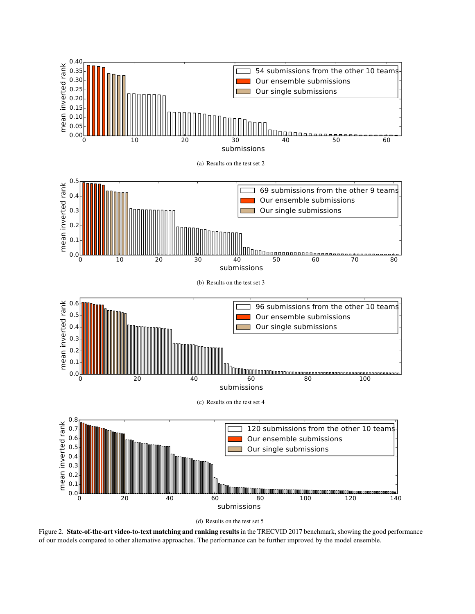

<span id="page-3-0"></span>(d) Results on the test set 5

Figure 2. State-of-the-art video-to-text matching and ranking results in the TRECVID 2017 benchmark, showing the good performance of our models compared to other alternative approaches. The performance can be further improved by the model ensemble.